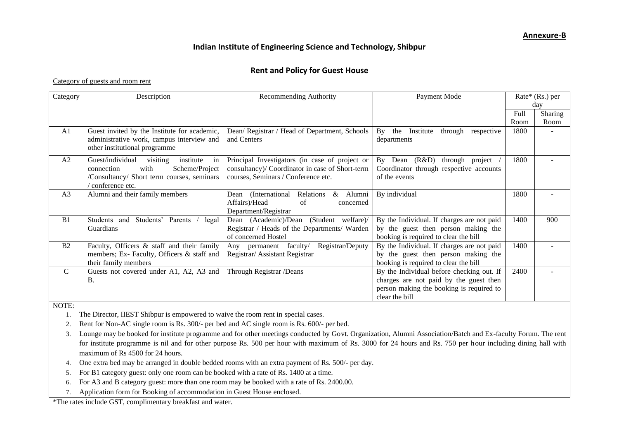## **Indian Institute of Engineering Science and Technology, Shibpur**

## **Rent and Policy for Guest House**

Category of guests and room rent

| Category       | Description                                     | Recommending Authority                                 | Payment Mode                                    | $Rate*$ (Rs.) per |         |
|----------------|-------------------------------------------------|--------------------------------------------------------|-------------------------------------------------|-------------------|---------|
|                |                                                 |                                                        |                                                 | dav               |         |
|                |                                                 |                                                        |                                                 | Full              | Sharing |
|                |                                                 |                                                        |                                                 | Room              | Room    |
| A <sub>1</sub> | Guest invited by the Institute for academic,    | Dean/ Registrar / Head of Department, Schools          | By<br>the<br>Institute<br>through<br>respective | 1800              |         |
|                | administrative work, campus interview and       | and Centers                                            | departments                                     |                   |         |
|                | other institutional programme                   |                                                        |                                                 |                   |         |
| A <sub>2</sub> | Guest/individual<br>visiting<br>institute<br>in | Principal Investigators (in case of project or         | By<br>(R&D)<br>Dean<br>through<br>project       | 1800              |         |
|                | with<br>Scheme/Project<br>connection            | consultancy)/ Coordinator in case of Short-term        | Coordinator through respective accounts         |                   |         |
|                | /Consultancy/ Short term courses, seminars      | courses, Seminars / Conference etc.                    | of the events                                   |                   |         |
|                | conference etc.                                 |                                                        |                                                 |                   |         |
| A <sub>3</sub> | Alumni and their family members                 | Relations<br>$\&$<br>Alumni<br>(International)<br>Dean | By individual                                   | 1800              |         |
|                |                                                 | Affairs)/Head<br>of<br>concerned                       |                                                 |                   |         |
|                |                                                 | Department/Registrar                                   |                                                 |                   |         |
| B1             | Students'<br>Parents<br>Students and<br>legal   | (Student)<br>welfare)/<br>Dean (Academic)/Dean         | By the Individual. If charges are not paid      | 1400              | 900     |
|                | Guardians                                       | Registrar / Heads of the Departments/ Warden           | by the guest then person making the             |                   |         |
|                |                                                 | of concerned Hostel                                    | booking is required to clear the bill           |                   |         |
| B <sub>2</sub> | Faculty, Officers & staff and their family      | Registrar/Deputy<br>Any permanent faculty/             | By the Individual. If charges are not paid      | 1400              |         |
|                | members; Ex- Faculty, Officers & staff and      | Registrar/ Assistant Registrar                         | by the guest then person making the             |                   |         |
|                | their family members                            |                                                        | booking is required to clear the bill           |                   |         |
| $\mathcal{C}$  | Guests not covered under A1, A2, A3 and         | Through Registrar /Deans                               | By the Individual before checking out. If       | 2400              |         |
|                | <b>B.</b>                                       |                                                        | charges are not paid by the guest then          |                   |         |
|                |                                                 |                                                        | person making the booking is required to        |                   |         |
|                |                                                 |                                                        | clear the bill                                  |                   |         |

NOTE:

1. The Director, IIEST Shibpur is empowered to waive the room rent in special cases.

2. Rent for Non-AC single room is Rs. 300/- per bed and AC single room is Rs. 600/- per bed.

3. Lounge may be booked for institute programme and for other meetings conducted by Govt. Organization, Alumni Association/Batch and Ex-faculty Forum. The rent for institute programme is nil and for other purpose Rs. 500 per hour with maximum of Rs. 3000 for 24 hours and Rs. 750 per hour including dining hall with maximum of Rs 4500 for 24 hours.

4. One extra bed may be arranged in double bedded rooms with an extra payment of Rs. 500/- per day.

5. For B1 category guest: only one room can be booked with a rate of Rs. 1400 at a time.

6. For A3 and B category guest: more than one room may be booked with a rate of Rs. 2400.00.

7. Application form for Booking of accommodation in Guest House enclosed.

\*The rates include GST, complimentary breakfast and water.